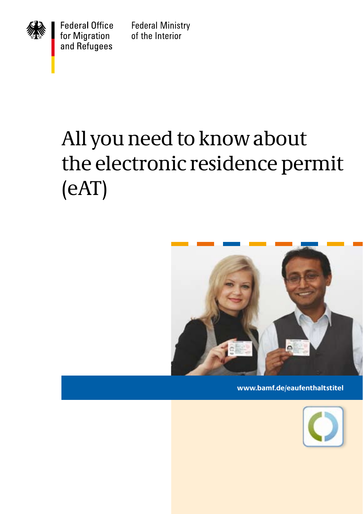

**Federal Office** for Migration and Refugees

**Federal Ministry** of the Interior

# All you need to know about the electronic residence permit (eAT)



**www.bamf.de/eaufenthaltstitel**

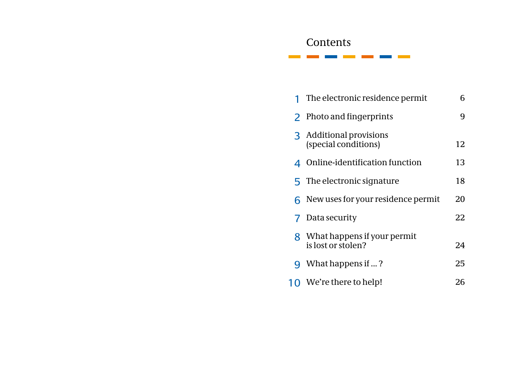### **Contents**

the control of the control of the control of the control of the control of the control of the control of the control of the control of the control of the control of the control of the control of the control of the control

|   | The electronic residence permit                   | 6  |
|---|---------------------------------------------------|----|
|   | 2 Photo and fingerprints                          | 9  |
|   | 3 Additional provisions<br>(special conditions)   | 12 |
|   | 4 Online-identification function                  | 13 |
|   | 5 The electronic signature                        | 18 |
|   | $6$ New uses for your residence permit            | 20 |
|   | <b>7</b> Data security                            | 22 |
| 8 | What happens if your permit<br>is lost or stolen? | 24 |
| q | What happens if ?                                 | 25 |
|   | 10 We're there to help!                           | 26 |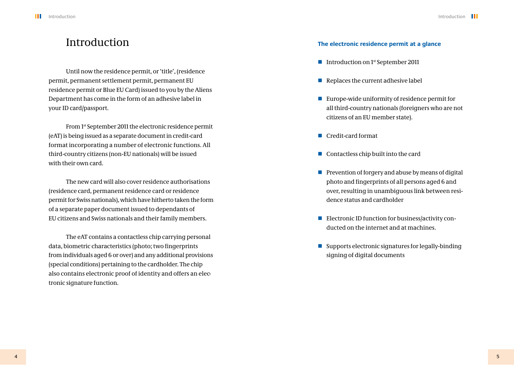### Introduction

Until now the residence permit, or 'title', (residence permit, permanent settlement permit, permanent EU residence permit or Blue EU Card) issued to you by the Aliens Department has come in the form of an adhesive label in your ID card/passport.

From 1st September 2011 the electronic residence permit (eAT) is being issued as a separate document in credit-card format incorporating a number of electronic functions. All third-country citizens (non-EU nationals) will be issued with their own card.

The new card will also cover residence authorisations (residence card, permanent residence card or residence permit for Swiss nationals), which have hitherto taken the form of a separate paper document issued to dependants of EU citizens and Swiss nationals and their family members.

The eAT contains a contactless chip carrying personal data, biometric characteristics (photo; two fingerprints from individuals aged 6 or over) and any additional provisions (special conditions) pertaining to the cardholder. The chip also contains electronic proof of identity and offers an electronic signature function.

#### **The electronic residence permit at a glance**

- Introduction on  $1<sup>st</sup>$  September 2011
- $\blacksquare$  Replaces the current adhesive label
- Europe-wide uniformity of residence permit for all third-country nationals (foreigners who are not citizens of an EU member state).
- Credit-card format
- $\Box$  Contactless chip built into the card
- $\blacksquare$  Prevention of forgery and abuse by means of digital photo and fingerprints of all persons aged 6 and over, resulting in unambiguous link between residence status and cardholder
- Electronic ID function for business/activity conducted on the internet and at machines.
- $\blacksquare$  Supports electronic signatures for legally-binding signing of digital documents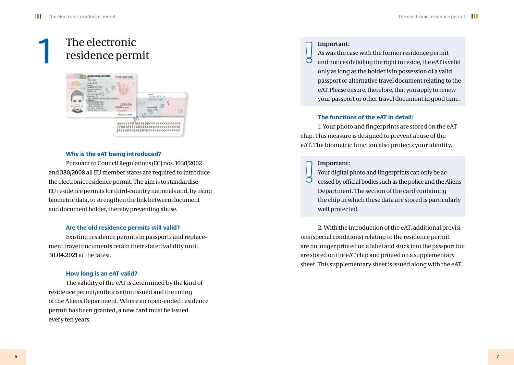# The electronic residence permit **and \begin{bmatrix} 1 & 0 & 0 \\ 0 & 1 & 0 \\ 0 & 0 & 0 \\ 0 & 0 & 0 \\ 0 & 0 & 0 \\ 0 & 0 & 0 \\ 0 & 0 & 0 \\ 0 & 0 & 0 \\ 0 & 0 & 0 \\ 0 & 0 & 0 \\ 0 & 0 & 0 \\ 0 & 0 & 0 \\ 0 & 0 & 0 \\ 0 & 0 & 0 & 0 \\ 0 & 0 & 0 & 0 \\ 0 & 0 & 0 & 0 \\ 0 & 0 & 0 & 0 \\ 0 & 0 & 0 & 0 &**



#### **Why is the eAT being introduced?**

Pursuant to Council Regulations (EC) nos. 1030/2002 and 380/2008 all EU member states are required to introduce the electronic residence permit. The aim is to standardise EU residence permits for third-country nationals and, by using biometric data, to strengthen the link between document and document holder, thereby preventing abuse.

#### **Are the old residence permits still valid?**

Existing residence permits in passports and replacement travel documents retain their stated validity until 30.04.2021 at the latest.

#### **How long is an eAT valid?**

The validity of the eAT is determined by the kind of residence permit/authorisation issued and the ruling of the Aliens Department. Where an open-ended residence permit has been granted, a new card must be issued every ten years.

#### **Important:**

As was the case with the former residence permit and notices detailing the right to reside, the eAT is valid only as long as the holder is in possession of a valid passport or alternative travel document relating to the eAT. Please ensure, therefore, that you apply to renew your passport or other travel document in good time.

#### **The functions of the eAT in detail:**

1. Your photo and fingerprints are stored on the eAT chip. This measure is designed to prevent abuse of the eAT. The biometric function also protects your identity.

#### **Important:**

**!** Your digital photo and fingerprints can only be accessed by official bodies such as the police and the Aliens Department. The section of the card containing the chip in which these data are stored is particularly well protected.

2. With the introduction of the eAT, additional provisions (special conditions) relating to the residence permit are no longer printed on a label and stuck into the passport but are stored on the eAT chip and printed on a supplementary sheet. This supplementary sheet is issued along with the eAT.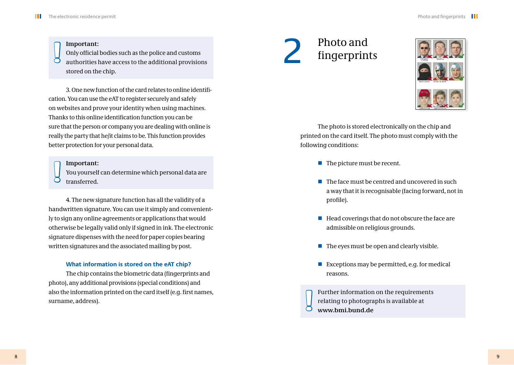#### **Important:**

Only official bodies such as the police and customs authorities have access to the additional provisions stored on the chip. **!**

3. One new function of the card relates to online identifi cation. You can use the eAT to register securely and safely on websites and prove your identity when using machines. Thanks to this online identification function you can be sure that the person or company you are dealing with online is really the party that he/it claims to be. This function provides better protection for your personal data.

#### **Important:**

**!** You yourself can determine which personal data are transferred.

4. The new signature function has all the validity of a handwritten signature. You can use it simply and conveniently to sign any online agreements or applications that would otherwise be legally valid only if signed in ink. The electronic signature dispenses with the need for paper copies bearing written signatures and the associated mailing by post.

#### **What information is stored on the eAT chip?**

The chip contains the biometric data (fingerprints and photo), any additional provisions (special conditions) and also the information printed on the card itself (e.g. first names, surname, address).

# 2 Photo and<br>fingerprin fingerprints



The photo is stored electronically on the chip and printed on the card itself. The photo must comply with the following conditions:

- $\blacksquare$  The picture must be recent.
- $\blacksquare$  The face must be centred and uncovered in such a way that it is recognisable (facing forward, not in profile).
- $\blacksquare$  Head coverings that do not obscure the face are admissible on religious grounds.
- $\blacksquare$  The eyes must be open and clearly visible.
- Exceptions may be permitted, e.g. for medical reasons.

Further information on the requirements relating to photographs is available at **www.bmi.bund.de !**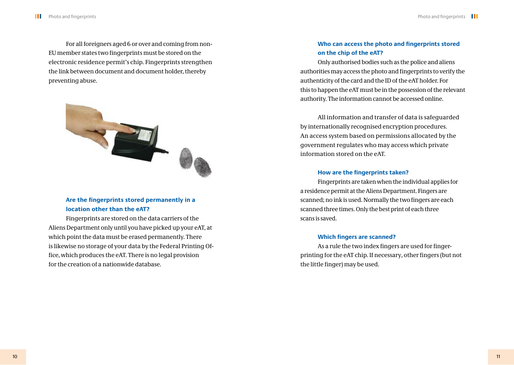For all foreigners aged 6 or over and coming from non-EU member states two fingerprints must be stored on the electronic residence permit's chip. Fingerprints strengthen the link between document and document holder, thereby preventing abuse.



#### **Are the fingerprints stored permanently in a location other than the eAT?**

Fingerprints are stored on the data carriers of the Aliens Department only until you have picked up your eAT, at which point the data must be erased permanently. There is likewise no storage of your data by the Federal Printing Office, which produces the eAT. There is no legal provision for the creation of a nationwide database.

#### **Who can access the photo and fingerprints stored on the chip of the eAT?**

Only authorised bodies such as the police and aliens authorities may access the photo and fingerprints to verify the authenticity of the card and the ID of the eAT holder. For this to happen the eAT must be in the possession of the relevant authority. The information cannot be accessed online.

All information and transfer of data is safeguarded by internationally recognised encryption procedures. An access system based on permissions allocated by the government regulates who may access which private information stored on the eAT.

#### **How are the fingerprints taken?**

Fingerprints are taken when the individual applies for a residence permit at the Aliens Department. Fingers are scanned; no ink is used. Normally the two fingers are each scanned three times. Only the best print of each three scans is saved.

#### **Which fingers are scanned?**

As a rule the two index fingers are used for fingerprinting for the eAT chip. If necessary, other fingers (but not the little finger) may be used.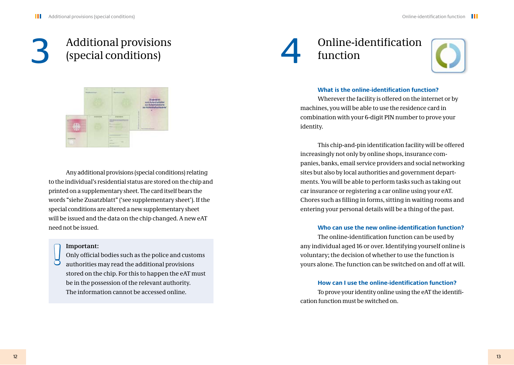# 3 Additional provisions<br>(special conditions) (special conditions)

Any additional provisions (special conditions) relating to the individual's residential status are stored on the chip and printed on a supplementary sheet. The card itself bears the words "siehe Zusatzblatt" ('see supplementary sheet'). If the special conditions are altered a new supplementary sheet will be issued and the data on the chip changed. A new eAT need not be issued.

#### **Important:**

**!**

Only official bodies such as the police and customs authorities may read the additional provisions stored on the chip. For this to happen the eAT must be in the possession of the relevant authority. The information cannot be accessed online.

## Online-identification function



#### **What is the online-identification function?**

Wherever the facility is offered on the internet or by machines, you will be able to use the residence card in combination with your 6-digit PIN number to prove your identity.

This chip-and-pin identification facility will be offered increasingly not only by online shops, insurance companies, banks, email service providers and social networking sites but also by local authorities and government departments. You will be able to perform tasks such as taking out car insurance or registering a car online using your eAT. Chores such as filling in forms, sitting in waiting rooms and entering your personal details will be a thing of the past.

#### **Who can use the new online-identification function?**

The online-identification function can be used by any individual aged 16 or over. Identifying yourself online is voluntary; the decision of whether to use the function is yours alone. The function can be switched on and off at will.

#### **How can Luse the online-identification function?**

To prove your identity online using the eAT the identification function must be switched on.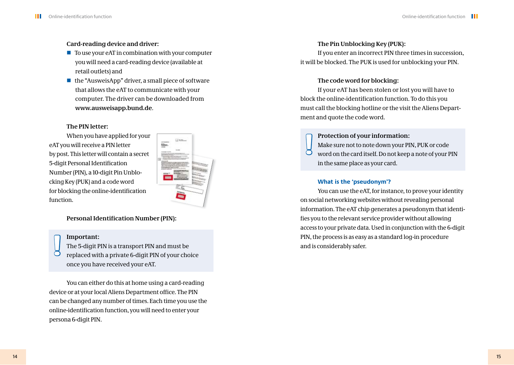#### **Card-reading device and driver:**

- $\blacksquare$  To use your eAT in combination with your computer you will need a card-reading device (available at retail outlets) and
- $\blacksquare$  the "AusweisApp" driver, a small piece of software that allows the eAT to communicate with your computer. The driver can be downloaded from **www.ausweisapp.bund.de**.

#### **The PIN letter:**

When you have applied for your eAT you will receive a PIN letter by post. This letter will contain a secret 5-digit Personal Identification Number (PIN), a 10-digit Pin Unblocking Key (PUK) and a code word for blocking the online-identification function.



#### **Personal Identification Number (PIN):**

#### **Important:**

The 5-digit PIN is a transport PIN and must be **important:**<br>
The 5-digit PIN is a transport PIN and must be and is considerably safer.<br>
and is considerably safer.<br>
and is considerably safer. once you have received your eAT.

You can either do this at home using a card-reading device or at your local Aliens Department office. The PIN can be changed any number of times. Each time you use the online-identification function, you will need to enter your persona 6-digit PIN.

#### **The Pin Unblocking Key (PUK):**

If you enter an incorrect PIN three times in succession, it will be blocked. The PUK is used for unblocking your PIN.

#### **The code word for blocking:**

If your eAT has been stolen or lost you will have to block the online-identification function. To do this you must call the blocking hotline or the visit the Aliens Department and quote the code word.

#### **Protection of your information:**

**!** Make sure not to note down your PIN, PUK or code word on the card itself. Do not keep a note of your PIN in the same place as your card.

#### **What is the 'pseudonym'?**

You can use the eAT, for instance, to prove your identity on social networking websites without revealing personal information. The eAT chip generates a pseudonym that identifies you to the relevant service provider without allowing access to your private data. Used in conjunction with the 6-digit PIN, the process is as easy as a standard log-in procedure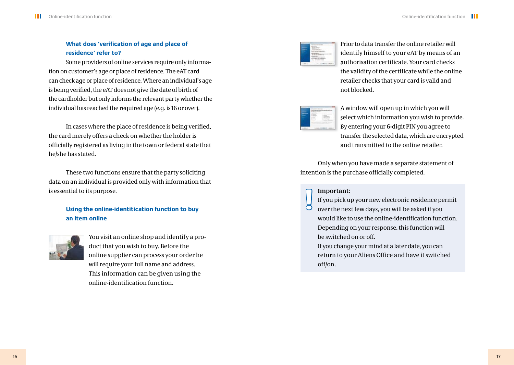#### **What does 'verification of age and place of residence' refer to?**

Some providers of online services require only information on customer's age or place of residence. The eAT card can check age or place of residence. Where an individual's age is being verified, the eAT does not give the date of birth of the cardholder but only informs the relevant party whether the individual has reached the required age (e.g. is 16 or over).

In cases where the place of residence is being verified, the card merely offers a check on whether the holder is officially registered as living in the town or federal state that he/she has stated.

These two functions ensure that the party soliciting data on an individual is provided only with information that is essential to its purpose.

#### **Using the online-identitication function to buy an item online**



You visit an online shop and identify a product that you wish to buy. Before the online supplier can process your order he will require your full name and address. This information can be given using the online-identification function.



Prior to data transfer the online retailer will identify himself to your eAT by means of an authorisation certificate. Your card checks the validity of the certificate while the online retailer checks that your card is valid and not blocked.



A window will open up in which you will select which information you wish to provide. By entering your 6-digit PIN you agree to transfer the selected data, which are encrypted and transmitted to the online retailer.

Only when you have made a separate statement of intention is the purchase officially completed.

#### **Important:**

**!** If you pick up your new electronic residence permit over the next few days, you will be asked if you would like to use the online-identification function. Depending on your response, this function will be switched on or off.

If you change your mind at a later date, you can return to your Aliens Office and have it switched off/on.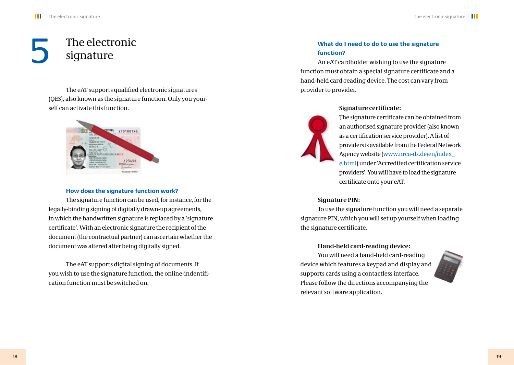# The electronic signature

The eAT supports qualified electronic signatures (QES), also known as the signature function. Only you yourself can activate this function.



#### **How does the signature function work?**

The signature function can be used, for instance, for the legally-binding signing of digitally drawn-up agreements, in which the handwritten signature is replaced by a 'signature certificate'. With an electronic signature the recipient of the document (the contractual partner) can ascertain whether the document was altered after being digitally signed.

The eAT supports digital signing of documents. If you wish to use the signature function, the online-indentification function must be switched on.

#### **What do I need to do to use the signature function?**

An eAT cardholder wishing to use the signature function must obtain a special signature certificate and a hand-held card-reading device. The cost can vary from provider to provider.

#### **Signature certificate:**

The signature certificate can be obtained from an authorised signature provider (also known as a certification service provider). A list of providers is available from the Federal Network Agency website (www.nrca-ds.de/en/index\_ ( e.html) under 'Accredited certification service providers'. You will have to load the signature certificate onto your eAT.

#### **Signature PIN:**

To use the signature function you will need a separate signature PIN, which you will set up yourself when loading the signature certificate.

#### **Hand-held card-reading device:**

You will need a hand-held card-reading device which features a keypad and display and supports cards using a contactless interface. Please follow the directions accompanying the relevant software application.

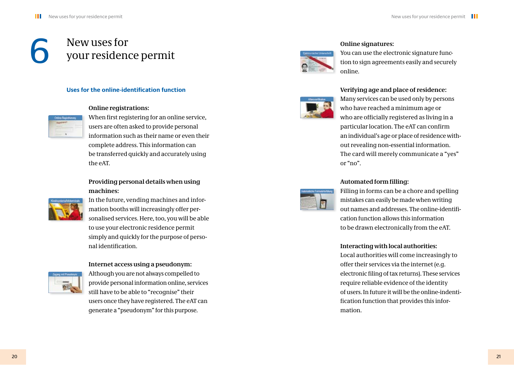# **6** New uses for<br>your residence your residence permit

#### **Uses for the online-identification function**

#### **Online registrations:**



When first registering for an online service, users are often asked to provide personal information such as their name or even their complete address. This information can be transferred quickly and accurately using the eAT.

#### **Providing personal details when using machines:**



In the future, vending machines and information booths will increasingly offer personalised services. Here, too, you will be able to use your electronic residence permit simply and quickly for the purpose of personal identification

#### **Internet access using a pseudonym:**



Although you are not always compelled to provide personal information online, services still have to be able to "recognise" their users once they have registered. The eAT can generate a "pseudonym" for this purpose.



#### **Online signatures:**

You can use the electronic signature function to sign agreements easily and securely online.



#### **Verifying age and place of residence:**

Many services can be used only by persons who have reached a minimum age or who are officially registered as living in a particular location. The eAT can confirm an individual's age or place of residence without revealing non-essential information. The card will merely communicate a "yes" or "no".

#### Automated form filling:



Filling in forms can be a chore and spelling mistakes can easily be made when writing out names and addresses. The online-identification function allows this information to be drawn electronically from the eAT.

#### **Interacting with local authorities:**

Local authorities will come increasingly to offer their services via the internet (e.g. electronic filing of tax returns). These services require reliable evidence of the identity of users. In future it will be the online-indentification function that provides this information.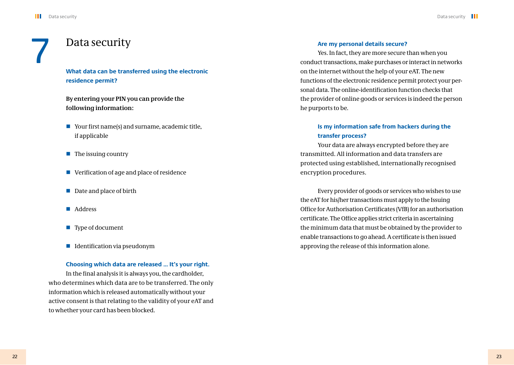### Data security

#### **What data can be transferred using the electronic residence permit?**

**By entering your PIN you can provide the following information:**

- Your first name(s) and surname, academic title, if applicable
- $\blacksquare$  The issuing country
- Verification of age and place of residence
- Date and place of birth
- Address
- **Type of document**
- $\blacksquare$  Identification via pseudonym

#### **Choosing which data are released … It's your right.**

In the final analysis it is always you, the cardholder, who determines which data are to be transferred. The only information which is released automatically without your active consent is that relating to the validity of your eAT and to whether your card has been blocked.

#### **Are my personal details secure?**

Yes. In fact, they are more secure than when you conduct transactions, make purchases or interact in networks on the internet without the help of your eAT. The new functions of the electronic residence permit protect your personal data. The online-identification function checks that the provider of online goods or services is indeed the person he purports to be.

#### **Is my information safe from hackers during the transfer process?**

Your data are always encrypted before they are transmitted. All information and data transfers are protected using established, internationally recognised encryption procedures.

Every provider of goods or services who wishes to use the eAT for his/her transactions must apply to the Issuing Office for Authorisation Certificates (VfB) for an authorisation certificate. The Office applies strict criteria in ascertaining the minimum data that must be obtained by the provider to enable transactions to go ahead. A certificate is then issued approving the release of this information alone.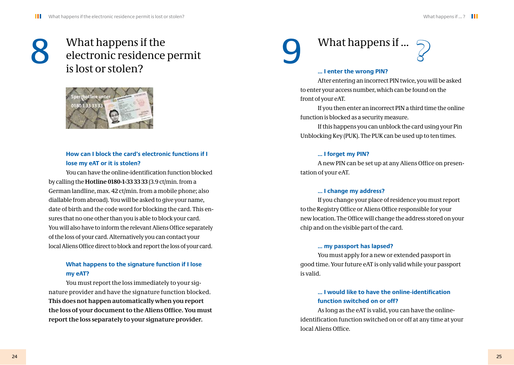## 8 What happens if the<br>electronic residence<br>is lost or stolen? electronic residence permit is lost or stolen?



#### **How can I block the card's electronic functions if I lose my eAT or it is stolen?**

You can have the online-identification function blocked by calling the **Hotline 0180-1-33 33 33** (3.9 ct/min. from a German landline, max. 42 ct/min. from a mobile phone; also diallable from abroad). You will be asked to give your name, date of birth and the code word for blocking the card. This ensures that no one other than you is able to block your card. You will also have to inform the relevant Aliens Office separately of the loss of your card. Alternatively you can contact your local Aliens Office direct to block and report the loss of your card.

#### **What happens to the signature function if I lose my eAT?**

You must report the loss immediately to your signature provider and have the signature function blocked. **This does not happen automatically when you report the loss of your document to the Aliens Office. You must report the loss separately to your signature provider.**

# What happens if ... **?**

#### **... I enter the wrong PIN?**

After entering an incorrect PIN twice, you will be asked to enter your access number, which can be found on the front of your eAT.

If you then enter an incorrect PIN a third time the online function is blocked as a security measure.

If this happens you can unblock the card using your Pin Unblocking Key (PUK). The PUK can be used up to ten times.

#### **... I forget my PIN?**

A new PIN can be set up at any Aliens Office on presentation of your eAT.

#### **... I change my address?**

If you change your place of residence you must report to the Registry Office or Aliens Office responsible for your new location. The Office will change the address stored on your chip and on the visible part of the card.

#### **... my passport has lapsed?**

You must apply for a new or extended passport in good time. Your future eAT is only valid while your passport is valid.

#### **... I would like to have the online-identification function switched on or off?**

As long as the eAT is valid, you can have the onlineidentification function switched on or off at any time at your local Aliens Office.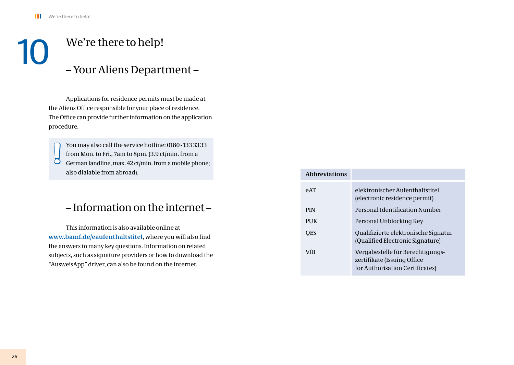# We're there to help! – Your Aliens Department –

Applications for residence permits must be made at the Aliens Office responsible for your place of residence. The Office can provide further information on the application procedure.

You may also call the service hotline: 0180-1333333 from Mon. to Fri., 7am to 8pm. (3.9 ct/min. from a German landline, max. 42 ct/min. from a mobile phone; also dialable from abroad). **!**

### – Information on the internet –

This information is also available online at **www.bamf.de/eaufenthaltstitel**, where you will also find the answers to many key questions. Information on related subjects, such as signature providers or how to download the "AusweisApp" driver, can also be found on the internet.

| <b>Abbreviations</b> |                                                                                                    |
|----------------------|----------------------------------------------------------------------------------------------------|
| PAT                  | elektronischer Aufenthaltstitel<br>(electronic residence permit)                                   |
| <b>PIN</b>           | Personal Identification Number                                                                     |
| PUK.                 | Personal Unblocking Key                                                                            |
| <b>OES</b>           | Qualifizierte elektronische Signatur<br>(Qualified Electronic Signature)                           |
| VfB                  | Vergabestelle für Berechtigungs-<br>zertifikate (Issuing Office<br>for Authorisation Certificates) |